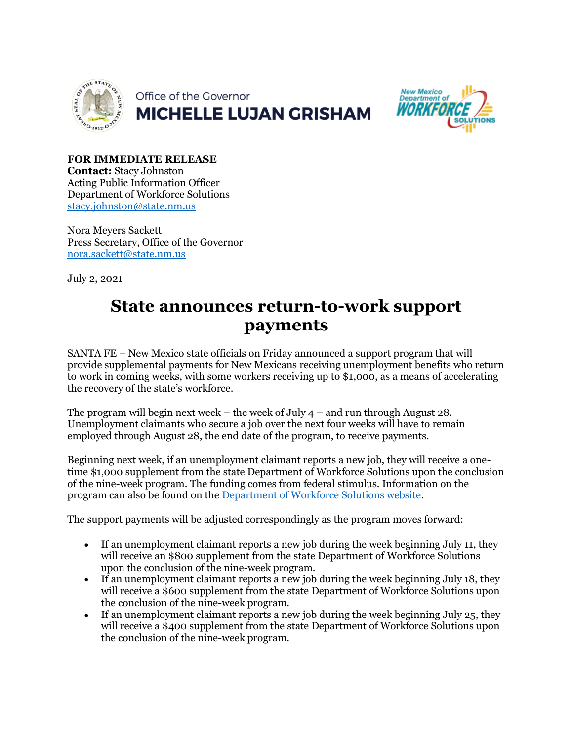



**FOR IMMEDIATE RELEASE Contact:** Stacy Johnston Acting Public Information Officer Department of Workforce Solutions [stacy.johnston@state.nm.us](mailto:stacy.johnston@state.nm.us)

Nora Meyers Sackett Press Secretary, Office of the Governor [nora.sackett@state.nm.us](mailto:nora.sackett@state.nm.us)

July 2, 2021

## **State announces return-to-work support payments**

SANTA FE – New Mexico state officials on Friday announced a support program that will provide supplemental payments for New Mexicans receiving unemployment benefits who return to work in coming weeks, with some workers receiving up to \$1,000, as a means of accelerating the recovery of the state's workforce.

The program will begin next week – the week of July  $4$  – and run through August 28. Unemployment claimants who secure a job over the next four weeks will have to remain employed through August 28, the end date of the program, to receive payments.

Beginning next week, if an unemployment claimant reports a new job, they will receive a onetime \$1,000 supplement from the state Department of Workforce Solutions upon the conclusion of the nine-week program. The funding comes from federal stimulus. Information on the program can also be found on the [Department of Workforce Solutions website.](https://www.dws.state.nm.us/ReturntoWorkSupportPayment)

The support payments will be adjusted correspondingly as the program moves forward:

- If an unemployment claimant reports a new job during the week beginning July 11, they will receive an \$800 supplement from the state Department of Workforce Solutions upon the conclusion of the nine-week program.
- If an unemployment claimant reports a new job during the week beginning July 18, they will receive a \$600 supplement from the state Department of Workforce Solutions upon the conclusion of the nine-week program.
- If an unemployment claimant reports a new job during the week beginning July 25, they will receive a \$400 supplement from the state Department of Workforce Solutions upon the conclusion of the nine-week program.